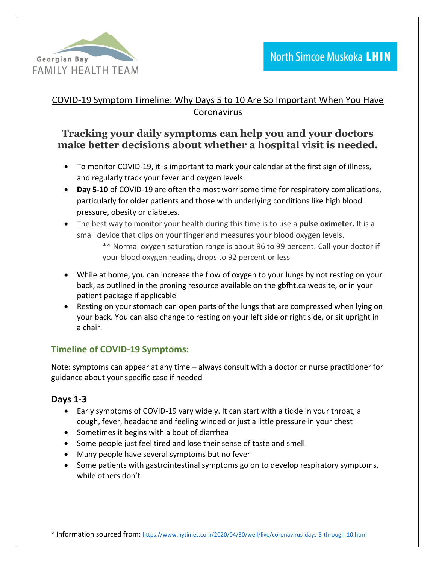

### COVID-19 Symptom Timeline: Why Days 5 to 10 Are So Important When You Have Coronavirus

# **Tracking your daily symptoms can help you and your doctors make better decisions about whether a hospital visit is needed.**

- To monitor COVID-19, it is important to mark your calendar at the first sign of illness, and regularly track your fever and oxygen levels.
- **Day 5-10** of COVID-19 are often the most worrisome time for respiratory complications, particularly for older patients and those with underlying conditions like high blood pressure, obesity or diabetes.
- The best way to monitor your health during this time is to use a **pulse oximeter.** It is a small device that clips on your finger and measures your blood oxygen levels.
	- \*\* Normal oxygen saturation range is about 96 to 99 percent. Call your doctor if your blood oxygen reading drops to 92 percent or less
- While at home, you can increase the flow of oxygen to your lungs by not resting on your back, as outlined in the proning resource available on the gbfht.ca website, or in your patient package if applicable
- Resting on your stomach can open parts of the lungs that are compressed when lying on your back. You can also change to resting on your left side or right side, or sit upright in a chair.

## **Timeline of COVID-19 Symptoms:**

Note: symptoms can appear at any time – always consult with a doctor or nurse practitioner for guidance about your specific case if needed

### **Days 1-3**

- Early symptoms of COVID-19 vary widely. It can start with a tickle in your throat, a cough, fever, headache and feeling winded or just a little pressure in your chest
- Sometimes it begins with a bout of diarrhea
- Some people just feel tired and lose their sense of taste and smell
- Many people have several symptoms but no fever
- Some patients with gastrointestinal symptoms go on to develop respiratory symptoms, while others don't

\* Information sourced from: <https://www.nytimes.com/2020/04/30/well/live/coronavirus-days-5-through-10.html>